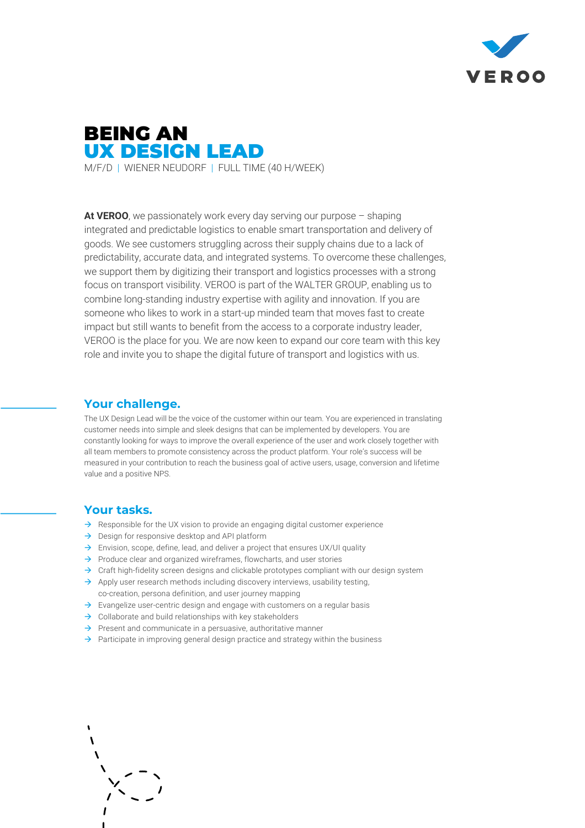

# BEING AN UX DESIGN LEAD M/F/D | WIENER NEUDORF | FULL TIME (40 H/WEEK)

**At VEROO**, we passionately work every day serving our purpose – shaping integrated and predictable logistics to enable smart transportation and delivery of goods. We see customers struggling across their supply chains due to a lack of predictability, accurate data, and integrated systems. To overcome these challenges, we support them by digitizing their transport and logistics processes with a strong focus on transport visibility. VEROO is part of the WALTER GROUP, enabling us to combine long-standing industry expertise with agility and innovation. If you are someone who likes to work in a start-up minded team that moves fast to create impact but still wants to benefit from the access to a corporate industry leader, VEROO is the place for you. We are now keen to expand our core team with this key role and invite you to shape the digital future of transport and logistics with us.

#### **Your challenge.**

The UX Design Lead will be the voice of the customer within our team. You are experienced in translating customer needs into simple and sleek designs that can be implemented by developers. You are constantly looking for ways to improve the overall experience of the user and work closely together with all team members to promote consistency across the product platform. Your role's success will be measured in your contribution to reach the business goal of active users, usage, conversion and lifetime value and a positive NPS.

#### **Your tasks.**

- $\rightarrow$  Responsible for the UX vision to provide an engaging digital customer experience
- $\rightarrow$  Design for responsive desktop and API platform
- $\rightarrow$  Envision, scope, define, lead, and deliver a project that ensures UX/UI quality
- $\rightarrow$  Produce clear and organized wireframes, flowcharts, and user stories
- $\rightarrow$  Craft high-fidelity screen designs and clickable prototypes compliant with our design system
- $\rightarrow$  Apply user research methods including discovery interviews, usability testing, co-creation, persona definition, and user journey mapping
- $\rightarrow$  Evangelize user-centric design and engage with customers on a regular basis
- $\rightarrow$  Collaborate and build relationships with key stakeholders
- $\rightarrow$  Present and communicate in a persuasive, authoritative manner
- $\rightarrow$  Participate in improving general design practice and strategy within the business